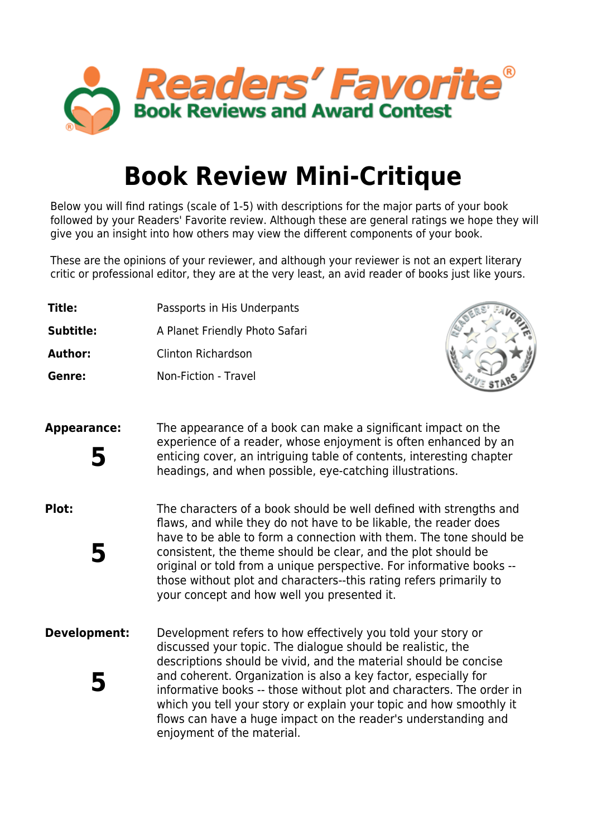

## **Book Review Mini-Critique**

Below you will find ratings (scale of 1-5) with descriptions for the major parts of your book followed by your Readers' Favorite review. Although these are general ratings we hope they will give you an insight into how others may view the different components of your book.

These are the opinions of your reviewer, and although your reviewer is not an expert literary critic or professional editor, they are at the very least, an avid reader of books just like yours.

- **Title:** Passports in His Underpants
- **Subtitle:** A Planet Friendly Photo Safari
- **Author:** Clinton Richardson
- **Genre:** Non-Fiction Travel



**Appearance:** The appearance of a book can make a significant impact on the experience of a reader, whose enjoyment is often enhanced by an enticing cover, an intriguing table of contents, interesting chapter headings, and when possible, eye-catching illustrations. **5**

- **Plot:** The characters of a book should be well defined with strengths and flaws, and while they do not have to be likable, the reader does have to be able to form a connection with them. The tone should be consistent, the theme should be clear, and the plot should be original or told from a unique perspective. For informative books - those without plot and characters--this rating refers primarily to your concept and how well you presented it. **5**
- **Development:** Development refers to how effectively you told your story or discussed your topic. The dialogue should be realistic, the descriptions should be vivid, and the material should be concise and coherent. Organization is also a key factor, especially for informative books -- those without plot and characters. The order in which you tell your story or explain your topic and how smoothly it flows can have a huge impact on the reader's understanding and enjoyment of the material. **5**